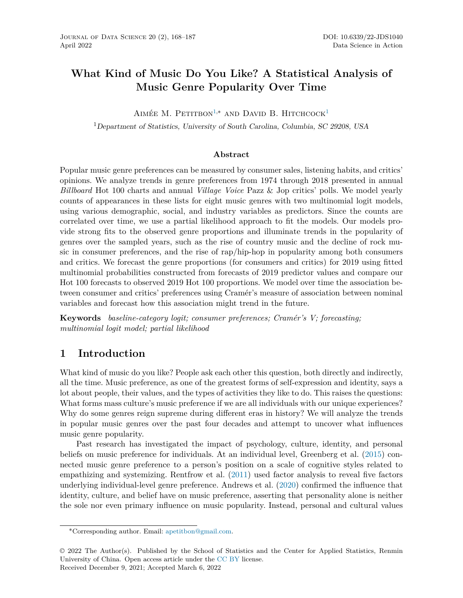# <span id="page-0-0"></span>**What Kind of Music Do You Like? A Statistical Analysis of Music Genre Popularity Over Time**

AIMÉE M. PETITBON<sup>[1,](#page-0-0)\*</sup> AND DAVID B. HITCHCOCK<sup>[1](#page-0-0)</sup>

<sup>1</sup>*Department of Statistics, University of South Carolina, Columbia, SC 29208, USA*

#### **Abstract**

Popular music genre preferences can be measured by consumer sales, listening habits, and critics' opinions. We analyze trends in genre preferences from 1974 through 2018 presented in annual *Billboard* Hot 100 charts and annual *Village Voice* Pazz & Jop critics' polls. We model yearly counts of appearances in these lists for eight music genres with two multinomial logit models, using various demographic, social, and industry variables as predictors. Since the counts are correlated over time, we use a partial likelihood approach to fit the models. Our models provide strong fits to the observed genre proportions and illuminate trends in the popularity of genres over the sampled years, such as the rise of country music and the decline of rock music in consumer preferences, and the rise of rap/hip-hop in popularity among both consumers and critics. We forecast the genre proportions (for consumers and critics) for 2019 using fitted multinomial probabilities constructed from forecasts of 2019 predictor values and compare our Hot 100 forecasts to observed 2019 Hot 100 proportions. We model over time the association between consumer and critics' preferences using Cramér's measure of association between nominal variables and forecast how this association might trend in the future.

**Keywords** *baseline-category logit; consumer preferences; Cramér's V; forecasting; multinomial logit model; partial likelihood*

# **1 Introduction**

What kind of music do you like? People ask each other this question, both directly and indirectly, all the time. Music preference, as one of the greatest forms of self-expression and identity, says a lot about people, their values, and the types of activities they like to do. This raises the questions: What forms mass culture's music preference if we are all individuals with our unique experiences? Why do some genres reign supreme during different eras in history? We will analyze the trends in popular music genres over the past four decades and attempt to uncover what influences music genre popularity.

Past research has investigated the impact of psychology, culture, identity, and personal beliefs on music preference for individuals. At an individual level, Greenberg et al. ([2015\)](#page-18-0) connected music genre preference to a person's position on a scale of cognitive styles related to empathizing and systemizing. Rentfrow et al. ([2011\)](#page-19-0) used factor analysis to reveal five factors underlying individual-level genre preference. Andrews et al. [\(2020](#page-17-0)) confirmed the influence that identity, culture, and belief have on music preference, asserting that personality alone is neither the sole nor even primary influence on music popularity. Instead, personal and cultural values

<sup>∗</sup>Corresponding author. Email: [apetitbon@gmail.com](mailto:apetitbon@gmail.com).

<sup>© 2022</sup> The Author(s). Published by the School of Statistics and the Center for Applied Statistics, Renmin University of China. Open access article under the [CC BY](https://creativecommons.org/licenses/by/4.0/) license. Received December 9, 2021; Accepted March 6, 2022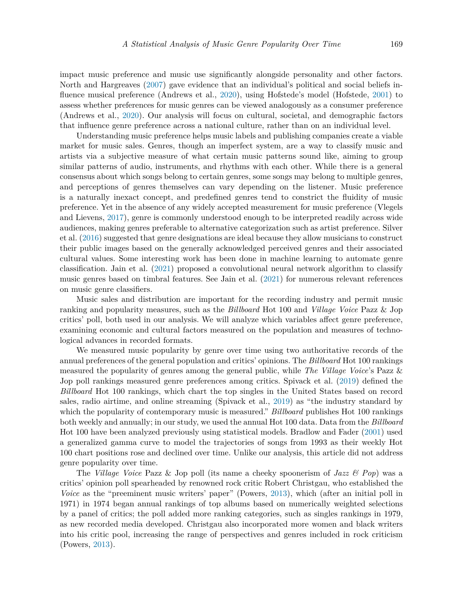impact music preference and music use significantly alongside personality and other factors. North and Hargreaves ([2007](#page-18-1)) gave evidence that an individual's political and social beliefs influence musical preference (Andrews et al., [2020\)](#page-17-0), using Hofstede's model (Hofstede, [2001\)](#page-18-2) to assess whether preferences for music genres can be viewed analogously as a consumer preference (Andrews et al., [2020\)](#page-17-0). Our analysis will focus on cultural, societal, and demographic factors that influence genre preference across a national culture, rather than on an individual level.

Understanding music preference helps music labels and publishing companies create a viable market for music sales. Genres, though an imperfect system, are a way to classify music and artists via a subjective measure of what certain music patterns sound like, aiming to group similar patterns of audio, instruments, and rhythms with each other. While there is a general consensus about which songs belong to certain genres, some songs may belong to multiple genres, and perceptions of genres themselves can vary depending on the listener. Music preference is a naturally inexact concept, and predefined genres tend to constrict the fluidity of music preference. Yet in the absence of any widely accepted measurement for music preference (Vlegels and Lievens, [2017\)](#page-19-1), genre is commonly understood enough to be interpreted readily across wide audiences, making genres preferable to alternative categorization such as artist preference. Silver et al. ([2016\)](#page-19-2) suggested that genre designations are ideal because they allow musicians to construct their public images based on the generally acknowledged perceived genres and their associated cultural values. Some interesting work has been done in machine learning to automate genre classification. Jain et al. [\(2021\)](#page-18-3) proposed a convolutional neural network algorithm to classify music genres based on timbral features. See Jain et al. [\(2021](#page-18-3)) for numerous relevant references on music genre classifiers.

Music sales and distribution are important for the recording industry and permit music ranking and popularity measures, such as the *Billboard* Hot 100 and *Village Voice* Pazz & Jop critics' poll, both used in our analysis. We will analyze which variables affect genre preference, examining economic and cultural factors measured on the population and measures of technological advances in recorded formats.

We measured music popularity by genre over time using two authoritative records of the annual preferences of the general population and critics' opinions. The *Billboard* Hot 100 rankings measured the popularity of genres among the general public, while *The Village Voice*'s Pazz & Jop poll rankings measured genre preferences among critics. Spivack et al. [\(2019\)](#page-19-3) defined the *Billboard* Hot 100 rankings, which chart the top singles in the United States based on record sales, radio airtime, and online streaming (Spivack et al., [2019](#page-19-3)) as "the industry standard by which the popularity of contemporary music is measured." *Billboard* publishes Hot 100 rankings both weekly and annually; in our study, we used the annual Hot 100 data. Data from the *Billboard* Hot 100 have been analyzed previously using statistical models. Bradlow and Fader [\(2001](#page-17-1)) used a generalized gamma curve to model the trajectories of songs from 1993 as their weekly Hot 100 chart positions rose and declined over time. Unlike our analysis, this article did not address genre popularity over time.

The *Village Voice* Pazz & Jop poll (its name a cheeky spoonerism of *Jazz & Pop*) was a critics' opinion poll spearheaded by renowned rock critic Robert Christgau, who established the *Voice* as the "preeminent music writers' paper" (Powers, [2013\)](#page-18-4), which (after an initial poll in 1971) in 1974 began annual rankings of top albums based on numerically weighted selections by a panel of critics; the poll added more ranking categories, such as singles rankings in 1979, as new recorded media developed. Christgau also incorporated more women and black writers into his critic pool, increasing the range of perspectives and genres included in rock criticism (Powers, [2013](#page-18-4)).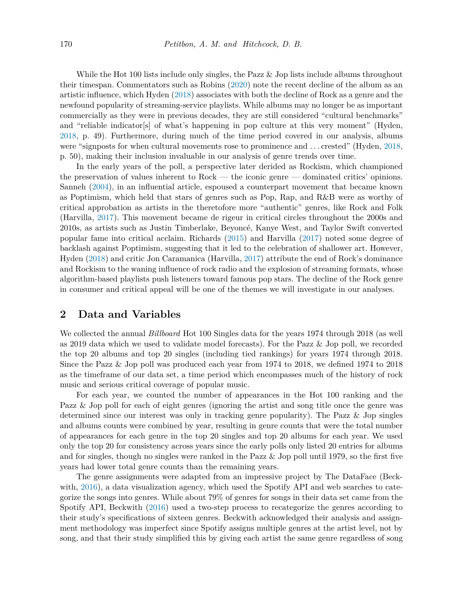While the Hot 100 lists include only singles, the Pazz & Jop lists include albums throughout their timespan. Commentators such as Robins [\(2020](#page-19-4)) note the recent decline of the album as an artistic influence, which Hyden ([2018\)](#page-18-5) associates with both the decline of Rock as a genre and the newfound popularity of streaming-service playlists. While albums may no longer be as important commercially as they were in previous decades, they are still considered "cultural benchmarks" and "reliable indicator[s] of what's happening in pop culture at this very moment" (Hyden, [2018](#page-18-5), p. 49). Furthermore, during much of the time period covered in our analysis, albums were "signposts for when cultural movements rose to prominence and . . . crested" (Hyden, [2018,](#page-18-5) p. 50), making their inclusion invaluable in our analysis of genre trends over time.

In the early years of the poll, a perspective later derided as Rockism, which championed the preservation of values inherent to Rock — the iconic genre — dominated critics' opinions. Sanneh ([2004\)](#page-19-5), in an influential article, espoused a counterpart movement that became known as Poptimism, which held that stars of genres such as Pop, Rap, and R&B were as worthy of critical approbation as artists in the theretofore more "authentic" genres, like Rock and Folk (Harvilla, [2017](#page-18-6)). This movement became de rigeur in critical circles throughout the 2000s and 2010s, as artists such as Justin Timberlake, Beyoncé, Kanye West, and Taylor Swift converted popular fame into critical acclaim. Richards ([2015\)](#page-19-6) and Harvilla ([2017\)](#page-18-6) noted some degree of backlash against Poptimism, suggesting that it led to the celebration of shallower art. However, Hyden [\(2018](#page-18-5)) and critic Jon Caramanica (Harvilla, [2017\)](#page-18-6) attribute the end of Rock's dominance and Rockism to the waning influence of rock radio and the explosion of streaming formats, whose algorithm-based playlists push listeners toward famous pop stars. The decline of the Rock genre in consumer and critical appeal will be one of the themes we will investigate in our analyses.

### **2 Data and Variables**

We collected the annual *Billboard* Hot 100 Singles data for the years 1974 through 2018 (as well as 2019 data which we used to validate model forecasts). For the Pazz & Jop poll, we recorded the top 20 albums and top 20 singles (including tied rankings) for years 1974 through 2018. Since the Pazz & Jop poll was produced each year from 1974 to 2018, we defined 1974 to 2018 as the timeframe of our data set, a time period which encompasses much of the history of rock music and serious critical coverage of popular music.

For each year, we counted the number of appearances in the Hot 100 ranking and the Pazz & Jop poll for each of eight genres (ignoring the artist and song title once the genre was determined since our interest was only in tracking genre popularity). The Pazz & Jop singles and albums counts were combined by year, resulting in genre counts that were the total number of appearances for each genre in the top 20 singles and top 20 albums for each year. We used only the top 20 for consistency across years since the early polls only listed 20 entries for albums and for singles, though no singles were ranked in the Pazz & Jop poll until 1979, so the first five years had lower total genre counts than the remaining years.

The genre assignments were adapted from an impressive project by The DataFace (Beck-with, [2016\)](#page-17-2), a data visualization agency, which used the Spotify API and web searches to categorize the songs into genres. While about 79% of genres for songs in their data set came from the Spotify API, Beckwith [\(2016\)](#page-17-2) used a two-step process to recategorize the genres according to their study's specifications of sixteen genres. Beckwith acknowledged their analysis and assignment methodology was imperfect since Spotify assigns multiple genres at the artist level, not by song, and that their study simplified this by giving each artist the same genre regardless of song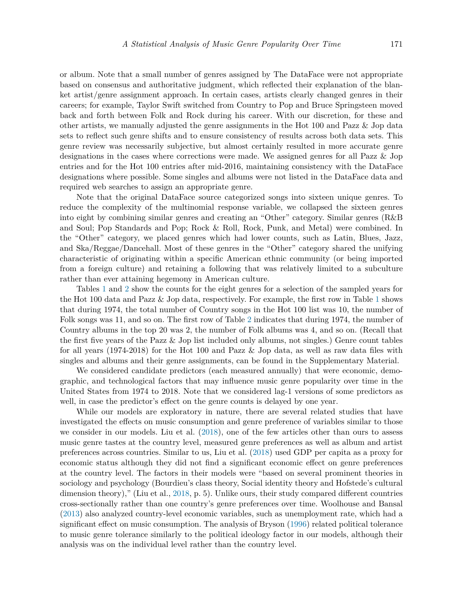or album. Note that a small number of genres assigned by The DataFace were not appropriate based on consensus and authoritative judgment, which reflected their explanation of the blanket artist/genre assignment approach. In certain cases, artists clearly changed genres in their careers; for example, Taylor Swift switched from Country to Pop and Bruce Springsteen moved back and forth between Folk and Rock during his career. With our discretion, for these and other artists, we manually adjusted the genre assignments in the Hot 100 and Pazz & Jop data sets to reflect such genre shifts and to ensure consistency of results across both data sets. This genre review was necessarily subjective, but almost certainly resulted in more accurate genre designations in the cases where corrections were made. We assigned genres for all Pazz & Jop entries and for the Hot 100 entries after mid-2016, maintaining consistency with the DataFace designations where possible. Some singles and albums were not listed in the DataFace data and required web searches to assign an appropriate genre.

Note that the original DataFace source categorized songs into sixteen unique genres. To reduce the complexity of the multinomial response variable, we collapsed the sixteen genres into eight by combining similar genres and creating an "Other" category. Similar genres (R&B and Soul; Pop Standards and Pop; Rock & Roll, Rock, Punk, and Metal) were combined. In the "Other" category, we placed genres which had lower counts, such as Latin, Blues, Jazz, and Ska/Reggae/Dancehall. Most of these genres in the "Other" category shared the unifying characteristic of originating within a specific American ethnic community (or being imported from a foreign culture) and retaining a following that was relatively limited to a subculture rather than ever attaining hegemony in American culture.

Tables [1](#page-4-0) and [2](#page-4-1) show the counts for the eight genres for a selection of the sampled years for the Hot 100 data and Pazz & Jop data, respectively. For example, the first row in Table [1](#page-4-0) shows that during 1974, the total number of Country songs in the Hot 100 list was 10, the number of Folk songs was 11, and so on. The first row of Table [2](#page-4-1) indicates that during 1974, the number of Country albums in the top 20 was 2, the number of Folk albums was 4, and so on. (Recall that the first five years of the Pazz & Jop list included only albums, not singles.) Genre count tables for all years (1974-2018) for the Hot 100 and Pazz & Jop data, as well as raw data files with singles and albums and their genre assignments, can be found in the Supplementary Material.

We considered candidate predictors (each measured annually) that were economic, demographic, and technological factors that may influence music genre popularity over time in the United States from 1974 to 2018. Note that we considered lag-1 versions of some predictors as well, in case the predictor's effect on the genre counts is delayed by one year.

While our models are exploratory in nature, there are several related studies that have investigated the effects on music consumption and genre preference of variables similar to those we consider in our models. Liu et al. [\(2018](#page-18-7)), one of the few articles other than ours to assess music genre tastes at the country level, measured genre preferences as well as album and artist preferences across countries. Similar to us, Liu et al. [\(2018](#page-18-7)) used GDP per capita as a proxy for economic status although they did not find a significant economic effect on genre preferences at the country level. The factors in their models were "based on several prominent theories in sociology and psychology (Bourdieu's class theory, Social identity theory and Hofstede's cultural dimension theory)," (Liu et al., [2018,](#page-18-7) p. 5). Unlike ours, their study compared different countries cross-sectionally rather than one country's genre preferences over time. Woolhouse and Bansal [\(2013](#page-19-7)) also analyzed country-level economic variables, such as unemployment rate, which had a significant effect on music consumption. The analysis of Bryson ([1996\)](#page-17-3) related political tolerance to music genre tolerance similarly to the political ideology factor in our models, although their analysis was on the individual level rather than the country level.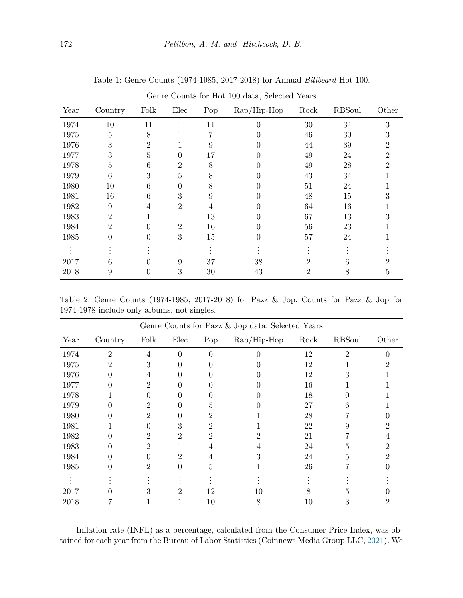| Genre Counts for Hot 100 data, Selected Years |                |                  |                |     |                                                 |      |               |       |  |
|-----------------------------------------------|----------------|------------------|----------------|-----|-------------------------------------------------|------|---------------|-------|--|
| Year                                          | Country        | Folk             | Elec           | Pop | $\mathrm{Rap}/\mathrm{Hip}\text{-}\mathrm{Hop}$ | Rock | <b>RBSoul</b> | Other |  |
| 1974                                          | 10             | 11               | 1              | 11  | 0                                               | 30   | 34            | 3     |  |
| 1975                                          | 5              | 8                |                |     | $\mathbf{0}$                                    | 46   | 30            |       |  |
| 1976                                          | 3              | 2                |                | 9   | $\mathbf{0}$                                    | 44   | 39            |       |  |
| 1977                                          | 3              | 5                | 0              | 17  | $\mathbf{\Omega}$                               | 49   | 24            |       |  |
| 1978                                          | 5              | 6                | 2              | 8   |                                                 | 49   | 28            |       |  |
| 1979                                          | 6              | 3                | 5              | 8   |                                                 | 43   | 34            |       |  |
| 1980                                          | 10             | 6                | 0              | 8   | $\mathbf{\Omega}$                               | 51   | 24            |       |  |
| 1981                                          | 16             | 6                | 3              | 9   |                                                 | 48   | 15            |       |  |
| 1982                                          | 9              | 4                | 2              | 4   | $\mathbf{\Omega}$                               | 64   | 16            |       |  |
| 1983                                          | 2              |                  |                | 13  | $\theta$                                        | 67   | 13            |       |  |
| 1984                                          | $\overline{2}$ |                  | $\overline{2}$ | 16  | $\mathbf{0}$                                    | 56   | 23            |       |  |
| 1985                                          | $\theta$       | $\left( \right)$ | 3              | 15  | $\mathbf{0}$                                    | 57   | 24            |       |  |
|                                               |                |                  |                |     |                                                 |      |               |       |  |
| 2017                                          | 6              |                  | 9              | 37  | 38                                              | 2    | n             |       |  |
| 2018                                          | 9              |                  | 3              | 30  | 43                                              | 2    | 8             | Ð     |  |

<span id="page-4-0"></span>Table 1: Genre Counts (1974-1985, 2017-2018) for Annual *Billboard* Hot 100.

<span id="page-4-1"></span>Table 2: Genre Counts (1974-1985, 2017-2018) for Pazz & Jop. Counts for Pazz & Jop for 1974-1978 include only albums, not singles.

| Genre Counts for Pazz & Jop data, Selected Years |                  |      |                  |     |                                                 |      |               |       |
|--------------------------------------------------|------------------|------|------------------|-----|-------------------------------------------------|------|---------------|-------|
| Year                                             | Country          | Folk | Elec             | Pop | $\mathrm{Rap}/\mathrm{Hip}\text{-}\mathrm{Hop}$ | Rock | <b>RBSoul</b> | Other |
| 1974                                             | $\overline{2}$   | 4    | $\theta$         | ∩   |                                                 | 12   | 2             |       |
| 1975                                             | 2                | 3    |                  |     |                                                 | 12   |               |       |
| 1976                                             |                  | 4    |                  |     |                                                 | 12   |               |       |
| 1977                                             |                  | 2    |                  |     |                                                 | 16   |               |       |
| 1978                                             |                  |      |                  |     |                                                 | 18   |               |       |
| 1979                                             |                  | 2    |                  |     |                                                 | 27   |               |       |
| 1980                                             |                  | 2    |                  |     |                                                 | 28   |               |       |
| 1981                                             |                  |      | 3                |     |                                                 | 22   | 9             |       |
| 1982                                             |                  | 2    | 2                | 2   |                                                 | 21   |               |       |
| 1983                                             |                  | 2    |                  | 4   |                                                 | 24   | h,            |       |
| 1984                                             |                  |      | 2                | 4   |                                                 | 24   | h.            |       |
| 1985                                             | $\left( \right)$ | 2    | $\left( \right)$ | 5   |                                                 | 26   |               |       |
|                                                  |                  |      |                  |     |                                                 |      |               |       |
| 2017                                             |                  |      | 2                | 12  | 10                                              |      |               |       |
| 2018                                             |                  | 1.   |                  | 10  | 8                                               | 10   | 3             |       |

Inflation rate (INFL) as a percentage, calculated from the Consumer Price Index, was obtained for each year from the Bureau of Labor Statistics (Coinnews Media Group LLC, [2021\)](#page-17-4). We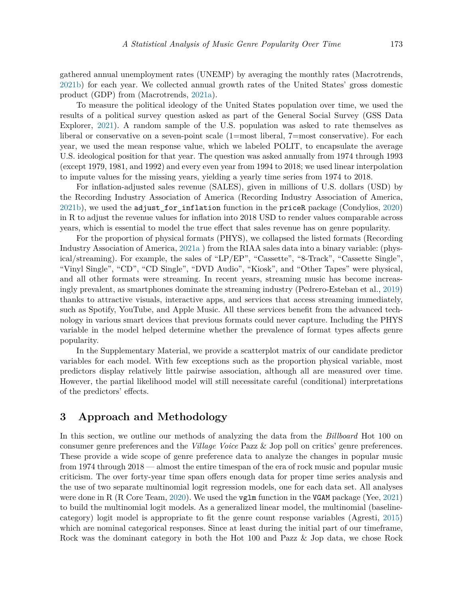gathered annual unemployment rates (UNEMP) by averaging the monthly rates (Macrotrends, [2021b](#page-18-8)) for each year. We collected annual growth rates of the United States' gross domestic product (GDP) from (Macrotrends, [2021a](#page-18-9)).

To measure the political ideology of the United States population over time, we used the results of a political survey question asked as part of the General Social Survey (GSS Data Explorer, [2021\)](#page-18-10). A random sample of the U.S. population was asked to rate themselves as liberal or conservative on a seven-point scale (1=most liberal, 7=most conservative). For each year, we used the mean response value, which we labeled POLIT, to encapsulate the average U.S. ideological position for that year. The question was asked annually from 1974 through 1993 (except 1979, 1981, and 1992) and every even year from 1994 to 2018; we used linear interpolation to impute values for the missing years, yielding a yearly time series from 1974 to 2018.

For inflation-adjusted sales revenue (SALES), given in millions of U.S. dollars (USD) by the Recording Industry Association of America (Recording Industry Association of America, [2021b](#page-19-8)), we used the adjust\_for\_inflation function in the priceR package (Condylios, [2020\)](#page-17-5) in R to adjust the revenue values for inflation into 2018 USD to render values comparable across years, which is essential to model the true effect that sales revenue has on genre popularity.

For the proportion of physical formats (PHYS), we collapsed the listed formats (Recording Industry Association of America, [2021a](#page-19-9) ) from the RIAA sales data into a binary variable: (physical/streaming). For example, the sales of "LP/EP", "Cassette", "8-Track", "Cassette Single", "Vinyl Single", "CD", "CD Single", "DVD Audio", "Kiosk", and "Other Tapes" were physical, and all other formats were streaming. In recent years, streaming music has become increasingly prevalent, as smartphones dominate the streaming industry (Pedrero-Esteban et al., [2019\)](#page-18-11) thanks to attractive visuals, interactive apps, and services that access streaming immediately, such as Spotify, YouTube, and Apple Music. All these services benefit from the advanced technology in various smart devices that previous formats could never capture. Including the PHYS variable in the model helped determine whether the prevalence of format types affects genre popularity.

In the Supplementary Material, we provide a scatterplot matrix of our candidate predictor variables for each model. With few exceptions such as the proportion physical variable, most predictors display relatively little pairwise association, although all are measured over time. However, the partial likelihood model will still necessitate careful (conditional) interpretations of the predictors' effects.

# **3 Approach and Methodology**

In this section, we outline our methods of analyzing the data from the *Billboard* Hot 100 on consumer genre preferences and the *Village Voice* Pazz & Jop poll on critics' genre preferences. These provide a wide scope of genre preference data to analyze the changes in popular music from 1974 through 2018 — almost the entire timespan of the era of rock music and popular music criticism. The over forty-year time span offers enough data for proper time series analysis and the use of two separate multinomial logit regression models, one for each data set. All analyses were done in R (R Core Team, [2020\)](#page-19-10). We used the **vglm** function in the **VGAM** package (Yee, [2021\)](#page-19-11) to build the multinomial logit models. As a generalized linear model, the multinomial (baselinecategory) logit model is appropriate to fit the genre count response variables (Agresti, [2015\)](#page-17-6) which are nominal categorical responses. Since at least during the initial part of our timeframe, Rock was the dominant category in both the Hot 100 and Pazz & Jop data, we chose Rock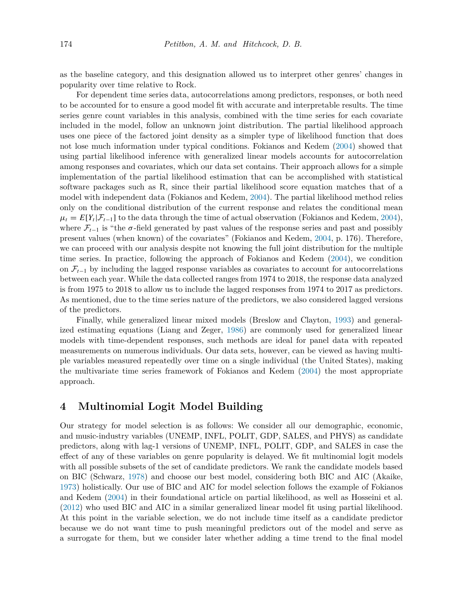as the baseline category, and this designation allowed us to interpret other genres' changes in popularity over time relative to Rock.

For dependent time series data, autocorrelations among predictors, responses, or both need to be accounted for to ensure a good model fit with accurate and interpretable results. The time series genre count variables in this analysis, combined with the time series for each covariate included in the model, follow an unknown joint distribution. The partial likelihood approach uses one piece of the factored joint density as a simpler type of likelihood function that does not lose much information under typical conditions. Fokianos and Kedem [\(2004](#page-18-12)) showed that using partial likelihood inference with generalized linear models accounts for autocorrelation among responses and covariates, which our data set contains. Their approach allows for a simple implementation of the partial likelihood estimation that can be accomplished with statistical software packages such as R, since their partial likelihood score equation matches that of a model with independent data (Fokianos and Kedem, [2004\)](#page-18-12). The partial likelihood method relies only on the conditional distribution of the current response and relates the conditional mean  $\mu_t = E[Y_t|\mathcal{F}_{t-1}]$  to the data through the time of actual observation (Fokianos and Kedem, [2004\)](#page-18-12), where  $\mathcal{F}_{t-1}$  is "the  $\sigma$ -field generated by past values of the response series and past and possibly present values (when known) of the covariates" (Fokianos and Kedem, [2004](#page-18-12), p. 176). Therefore, we can proceed with our analysis despite not knowing the full joint distribution for the multiple time series. In practice, following the approach of Fokianos and Kedem ([2004\)](#page-18-12), we condition on  $\mathcal{F}_{t-1}$  by including the lagged response variables as covariates to account for autocorrelations between each year. While the data collected ranges from 1974 to 2018, the response data analyzed is from 1975 to 2018 to allow us to include the lagged responses from 1974 to 2017 as predictors. As mentioned, due to the time series nature of the predictors, we also considered lagged versions of the predictors.

Finally, while generalized linear mixed models (Breslow and Clayton, [1993](#page-17-7)) and generalized estimating equations (Liang and Zeger, [1986\)](#page-18-13) are commonly used for generalized linear models with time-dependent responses, such methods are ideal for panel data with repeated measurements on numerous individuals. Our data sets, however, can be viewed as having multiple variables measured repeatedly over time on a single individual (the United States), making the multivariate time series framework of Fokianos and Kedem [\(2004](#page-18-12)) the most appropriate approach.

## **4 Multinomial Logit Model Building**

Our strategy for model selection is as follows: We consider all our demographic, economic, and music-industry variables (UNEMP, INFL, POLIT, GDP, SALES, and PHYS) as candidate predictors, along with lag-1 versions of UNEMP, INFL, POLIT, GDP, and SALES in case the effect of any of these variables on genre popularity is delayed. We fit multinomial logit models with all possible subsets of the set of candidate predictors. We rank the candidate models based on BIC (Schwarz, [1978](#page-19-12)) and choose our best model, considering both BIC and AIC (Akaike, [1973](#page-17-8)) holistically. Our use of BIC and AIC for model selection follows the example of Fokianos and Kedem [\(2004](#page-18-12)) in their foundational article on partial likelihood, as well as Hosseini et al. [\(2012](#page-18-14)) who used BIC and AIC in a similar generalized linear model fit using partial likelihood. At this point in the variable selection, we do not include time itself as a candidate predictor because we do not want time to push meaningful predictors out of the model and serve as a surrogate for them, but we consider later whether adding a time trend to the final model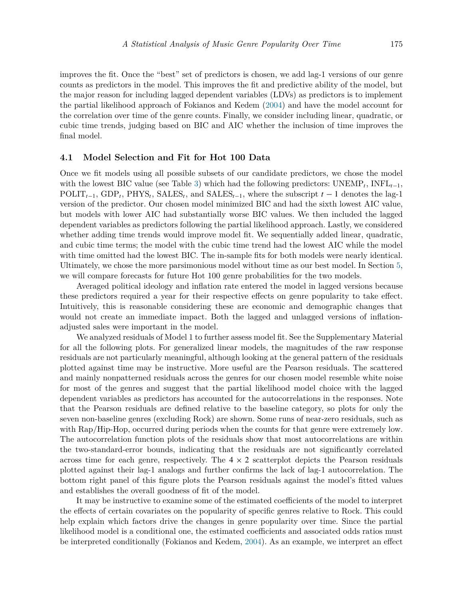improves the fit. Once the "best" set of predictors is chosen, we add lag-1 versions of our genre counts as predictors in the model. This improves the fit and predictive ability of the model, but the major reason for including lagged dependent variables (LDVs) as predictors is to implement the partial likelihood approach of Fokianos and Kedem [\(2004](#page-18-12)) and have the model account for the correlation over time of the genre counts. Finally, we consider including linear, quadratic, or cubic time trends, judging based on BIC and AIC whether the inclusion of time improves the final model.

#### <span id="page-7-0"></span>**4.1 Model Selection and Fit for Hot 100 Data**

Once we fit models using all possible subsets of our candidate predictors, we chose the model with the lowest BIC value (see Table [3](#page-8-0)) which had the following predictors:  $\text{UNEMP}_t$ ,  $\text{INFL}_{t-1}$ , POLIT<sub> $t-1$ </sub>, GDP<sub>t</sub>, PHYS<sub>t</sub>, SALES<sub>t</sub>, and SALES<sub> $t-1$ </sub>, where the subscript  $t-1$  denotes the lag-1 version of the predictor. Our chosen model minimized BIC and had the sixth lowest AIC value, but models with lower AIC had substantially worse BIC values. We then included the lagged dependent variables as predictors following the partial likelihood approach. Lastly, we considered whether adding time trends would improve model fit. We sequentially added linear, quadratic, and cubic time terms; the model with the cubic time trend had the lowest AIC while the model with time omitted had the lowest BIC. The in-sample fits for both models were nearly identical. Ultimately, we chose the more parsimonious model without time as our best model. In Section [5,](#page-12-0) we will compare forecasts for future Hot 100 genre probabilities for the two models.

Averaged political ideology and inflation rate entered the model in lagged versions because these predictors required a year for their respective effects on genre popularity to take effect. Intuitively, this is reasonable considering these are economic and demographic changes that would not create an immediate impact. Both the lagged and unlagged versions of inflationadjusted sales were important in the model.

We analyzed residuals of Model 1 to further assess model fit. See the Supplementary Material for all the following plots. For generalized linear models, the magnitudes of the raw response residuals are not particularly meaningful, although looking at the general pattern of the residuals plotted against time may be instructive. More useful are the Pearson residuals. The scattered and mainly nonpatterned residuals across the genres for our chosen model resemble white noise for most of the genres and suggest that the partial likelihood model choice with the lagged dependent variables as predictors has accounted for the autocorrelations in the responses. Note that the Pearson residuals are defined relative to the baseline category, so plots for only the seven non-baseline genres (excluding Rock) are shown. Some runs of near-zero residuals, such as with Rap/Hip-Hop, occurred during periods when the counts for that genre were extremely low. The autocorrelation function plots of the residuals show that most autocorrelations are within the two-standard-error bounds, indicating that the residuals are not significantly correlated across time for each genre, respectively. The  $4 \times 2$  scatterplot depicts the Pearson residuals plotted against their lag-1 analogs and further confirms the lack of lag-1 autocorrelation. The bottom right panel of this figure plots the Pearson residuals against the model's fitted values and establishes the overall goodness of fit of the model.

It may be instructive to examine some of the estimated coefficients of the model to interpret the effects of certain covariates on the popularity of specific genres relative to Rock. This could help explain which factors drive the changes in genre popularity over time. Since the partial likelihood model is a conditional one, the estimated coefficients and associated odds ratios must be interpreted conditionally (Fokianos and Kedem, [2004\)](#page-18-12). As an example, we interpret an effect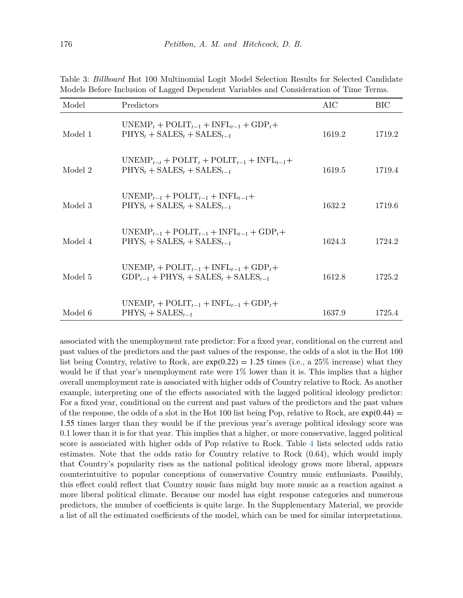| Model   | Predictors                                                                                                                    | AIC    | BIC    |
|---------|-------------------------------------------------------------------------------------------------------------------------------|--------|--------|
| Model 1 | $UNEMP_t + POLIT_{t-1} + INFL_{t-1} + GDP_t +$<br>$PHYSt + SALESt + SALESt-1$                                                 | 1619.2 | 1719.2 |
| Model 2 | $UNEMP_{t-t}$ + $POLIT_t$ + $POLIT_{t-1}$ + $INFL_{t-1}$ +<br>$PHYSt + SALESt + SALESt-1$                                     | 1619.5 | 1719.4 |
| Model 3 | $UNEMP_{t-1} + POLIT_{t-1} + INFL_{t-1}+$<br>$PHYSt + SALESt + SALESt-1$                                                      | 1632.2 | 1719.6 |
| Model 4 | $UNEMP_{t-1} + POLIT_{t-1} + INFL_{t-1} + GDP_t +$<br>$PHYSt + SALESt + SALESt-1$                                             | 1624.3 | 1724.2 |
| Model 5 | $UNEMP_t + POLIT_{t-1} + INFL_{t-1} + GDP_t +$<br>$GDP_{t-1}$ + PHYS <sub>t</sub> + SALES <sub>t</sub> + SALES <sub>t-1</sub> | 1612.8 | 1725.2 |
| Model 6 | $UNEMP_t + POLIT_{t-1} + INFL_{t-1} + GDP_t +$<br>$PHYSt + SALESt-1$                                                          | 1637.9 | 1725.4 |

<span id="page-8-0"></span>Table 3: *Billboard* Hot 100 Multinomial Logit Model Selection Results for Selected Candidate Models Before Inclusion of Lagged Dependent Variables and Consideration of Time Terms.

associated with the unemployment rate predictor: For a fixed year, conditional on the current and past values of the predictors and the past values of the response, the odds of a slot in the Hot 100 list being Country, relative to Rock, are  $exp(0.22) = 1.25$  times (i.e., a 25% increase) what they would be if that year's unemployment rate were 1% lower than it is. This implies that a higher overall unemployment rate is associated with higher odds of Country relative to Rock. As another example, interpreting one of the effects associated with the lagged political ideology predictor: For a fixed year, conditional on the current and past values of the predictors and the past values of the response, the odds of a slot in the Hot 100 list being Pop, relative to Rock, are  $exp(0.44)$  = 1*.*55 times larger than they would be if the previous year's average political ideology score was 0.1 lower than it is for that year. This implies that a higher, or more conservative, lagged political score is associated with higher odds of Pop relative to Rock. Table [4](#page-9-0) lists selected odds ratio estimates. Note that the odds ratio for Country relative to Rock (0.64), which would imply that Country's popularity rises as the national political ideology grows more liberal, appears counterintuitive to popular conceptions of conservative Country music enthusiasts. Possibly, this effect could reflect that Country music fans might buy more music as a reaction against a more liberal political climate. Because our model has eight response categories and numerous predictors, the number of coefficients is quite large. In the Supplementary Material, we provide a list of all the estimated coefficients of the model, which can be used for similar interpretations.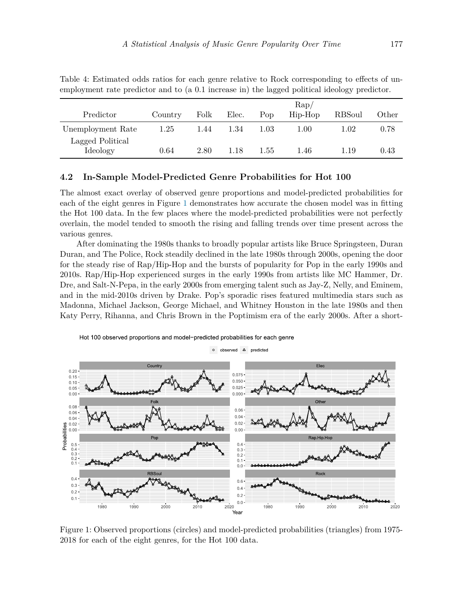|                              |         |      |       | $\rm Rap/$ |         |          |       |
|------------------------------|---------|------|-------|------------|---------|----------|-------|
| Predictor                    | Country | Folk | Elec. | Pop        | Hip-Hop | RBSoul   | Other |
| Unemployment Rate            | 1.25    | 1.44 | 1.34  | 1.03       | 1.00    | $1.02\,$ | 0.78  |
| Lagged Political<br>Ideology | 0.64    | 2.80 | 1.18  | 1.55       | 1.46    | 1.19     | 0.43  |

<span id="page-9-0"></span>Table 4: Estimated odds ratios for each genre relative to Rock corresponding to effects of unemployment rate predictor and to (a 0.1 increase in) the lagged political ideology predictor.

#### **4.2 In-Sample Model-Predicted Genre Probabilities for Hot 100**

The almost exact overlay of observed genre proportions and model-predicted probabilities for each of the eight genres in Figure [1](#page-9-1) demonstrates how accurate the chosen model was in fitting the Hot 100 data. In the few places where the model-predicted probabilities were not perfectly overlain, the model tended to smooth the rising and falling trends over time present across the various genres.

After dominating the 1980s thanks to broadly popular artists like Bruce Springsteen, Duran Duran, and The Police, Rock steadily declined in the late 1980s through 2000s, opening the door for the steady rise of Rap/Hip-Hop and the bursts of popularity for Pop in the early 1990s and 2010s. Rap/Hip-Hop experienced surges in the early 1990s from artists like MC Hammer, Dr. Dre, and Salt-N-Pepa, in the early 2000s from emerging talent such as Jay-Z, Nelly, and Eminem, and in the mid-2010s driven by Drake. Pop's sporadic rises featured multimedia stars such as Madonna, Michael Jackson, George Michael, and Whitney Houston in the late 1980s and then Katy Perry, Rihanna, and Chris Brown in the Poptimism era of the early 2000s. After a short-

Hot 100 observed proportions and model-predicted probabilities for each genre

 $\circ$  observed  $\Delta$  predicted



<span id="page-9-1"></span>Figure 1: Observed proportions (circles) and model-predicted probabilities (triangles) from 1975- 2018 for each of the eight genres, for the Hot 100 data.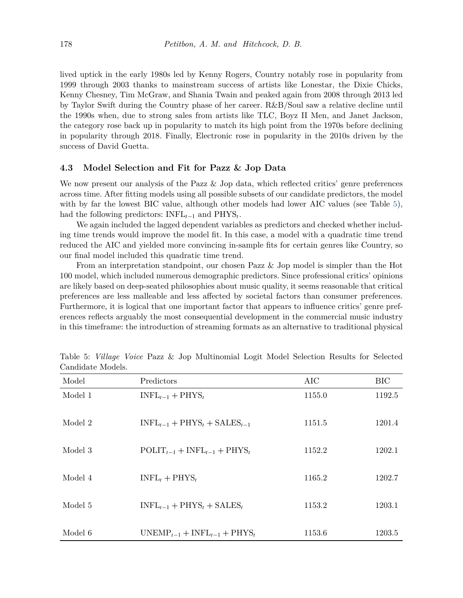lived uptick in the early 1980s led by Kenny Rogers, Country notably rose in popularity from 1999 through 2003 thanks to mainstream success of artists like Lonestar, the Dixie Chicks, Kenny Chesney, Tim McGraw, and Shania Twain and peaked again from 2008 through 2013 led by Taylor Swift during the Country phase of her career. R&B/Soul saw a relative decline until the 1990s when, due to strong sales from artists like TLC, Boyz II Men, and Janet Jackson, the category rose back up in popularity to match its high point from the 1970s before declining in popularity through 2018. Finally, Electronic rose in popularity in the 2010s driven by the success of David Guetta.

#### <span id="page-10-1"></span>**4.3 Model Selection and Fit for Pazz & Jop Data**

We now present our analysis of the Pazz  $\&$  Jop data, which reflected critics' genre preferences across time. After fitting models using all possible subsets of our candidate predictors, the model with by far the lowest BIC value, although other models had lower AIC values (see Table [5\)](#page-10-0), had the following predictors: INFL*t*−<sup>1</sup> and PHYS*<sup>t</sup>* .

We again included the lagged dependent variables as predictors and checked whether including time trends would improve the model fit. In this case, a model with a quadratic time trend reduced the AIC and yielded more convincing in-sample fits for certain genres like Country, so our final model included this quadratic time trend.

From an interpretation standpoint, our chosen Pazz & Jop model is simpler than the Hot 100 model, which included numerous demographic predictors. Since professional critics' opinions are likely based on deep-seated philosophies about music quality, it seems reasonable that critical preferences are less malleable and less affected by societal factors than consumer preferences. Furthermore, it is logical that one important factor that appears to influence critics' genre preferences reflects arguably the most consequential development in the commercial music industry in this timeframe: the introduction of streaming formats as an alternative to traditional physical

| Model   | Predictors                          | AIC    | <b>BIC</b> |
|---------|-------------------------------------|--------|------------|
| Model 1 | $INFL_{t-1} + PHYS_t$               | 1155.0 | 1192.5     |
|         |                                     |        |            |
| Model 2 | $INFL_{t-1} + PHYS_t + SALES_{t-1}$ | 1151.5 | 1201.4     |
|         |                                     |        |            |
| Model 3 | $POLIT_{t-1} + INFL_{t-1} + PHYS_t$ | 1152.2 | 1202.1     |
|         |                                     |        |            |
| Model 4 | $INFL_t + PHYS_t$                   | 1165.2 | 1202.7     |
|         |                                     |        |            |
| Model 5 | $INFL_{t-1} + PHYS_t + SALES_t$     | 1153.2 | 1203.1     |
|         |                                     |        |            |
| Model 6 | $UNEMP_{t-1} + INFL_{t-1} + PHYS_t$ | 1153.6 | 1203.5     |

<span id="page-10-0"></span>Table 5: *Village Voice* Pazz & Jop Multinomial Logit Model Selection Results for Selected Candidate Models.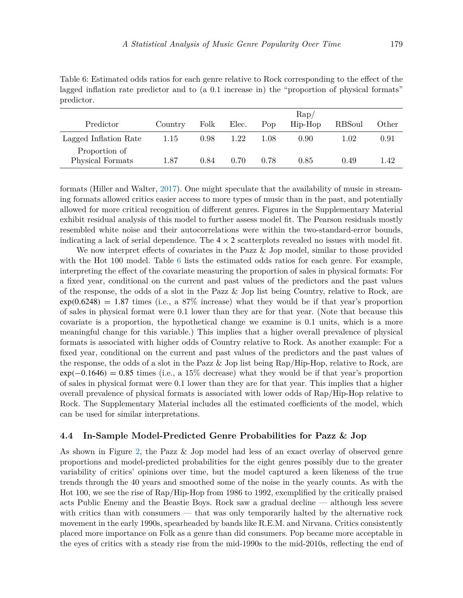|                                   |         |      |       |      | $\rm Rap/$ |               |       |
|-----------------------------------|---------|------|-------|------|------------|---------------|-------|
| Predictor                         | Country | Folk | Elec. | Pop  | Hip-Hop    | <b>RBSoul</b> | Other |
| Lagged Inflation Rate             | 1.15    | 0.98 | 1.22  | 1.08 | 0.90       | 1.02          | 0.91  |
| Proportion of<br>Physical Formats | 1.87    | 0.84 | 0.70  | 0.78 | 0.85       | 0.49          | 1.42  |

<span id="page-11-0"></span>Table 6: Estimated odds ratios for each genre relative to Rock corresponding to the effect of the lagged inflation rate predictor and to (a 0.1 increase in) the "proportion of physical formats" predictor.

formats (Hiller and Walter, [2017\)](#page-18-15). One might speculate that the availability of music in streaming formats allowed critics easier access to more types of music than in the past, and potentially allowed for more critical recognition of different genres. Figures in the Supplementary Material exhibit residual analysis of this model to further assess model fit. The Pearson residuals mostly resembled white noise and their autocorrelations were within the two-standard-error bounds, indicating a lack of serial dependence. The  $4 \times 2$  scatterplots revealed no issues with model fit.

We now interpret effects of covariates in the Pazz & Jop model, similar to those provided with the Hot 100 model. Table [6](#page-11-0) lists the estimated odds ratios for each genre. For example, interpreting the effect of the covariate measuring the proportion of sales in physical formats: For a fixed year, conditional on the current and past values of the predictors and the past values of the response, the odds of a slot in the Pazz & Jop list being Country, relative to Rock, are  $\exp(0.6248) = 1.87$  times (i.e., a 87% increase) what they would be if that year's proportion of sales in physical format were 0.1 lower than they are for that year. (Note that because this covariate is a proportion, the hypothetical change we examine is 0.1 units, which is a more meaningful change for this variable.) This implies that a higher overall prevalence of physical formats is associated with higher odds of Country relative to Rock. As another example: For a fixed year, conditional on the current and past values of the predictors and the past values of the response, the odds of a slot in the Pazz & Jop list being Rap/Hip-Hop, relative to Rock, are exp*(*−0*.*1646*)* = 0*.*85 times (i.e., a 15% decrease) what they would be if that year's proportion of sales in physical format were 0.1 lower than they are for that year. This implies that a higher overall prevalence of physical formats is associated with lower odds of Rap/Hip-Hop relative to Rock. The Supplementary Material includes all the estimated coefficients of the model, which can be used for similar interpretations.

#### **4.4 In-Sample Model-Predicted Genre Probabilities for Pazz & Jop**

As shown in Figure [2,](#page-12-1) the Pazz & Jop model had less of an exact overlay of observed genre proportions and model-predicted probabilities for the eight genres possibly due to the greater variability of critics' opinions over time, but the model captured a keen likeness of the true trends through the 40 years and smoothed some of the noise in the yearly counts. As with the Hot 100, we see the rise of Rap/Hip-Hop from 1986 to 1992, exemplified by the critically praised acts Public Enemy and the Beastie Boys. Rock saw a gradual decline — although less severe with critics than with consumers — that was only temporarily halted by the alternative rock movement in the early 1990s, spearheaded by bands like R.E.M. and Nirvana. Critics consistently placed more importance on Folk as a genre than did consumers. Pop became more acceptable in the eyes of critics with a steady rise from the mid-1990s to the mid-2010s, reflecting the end of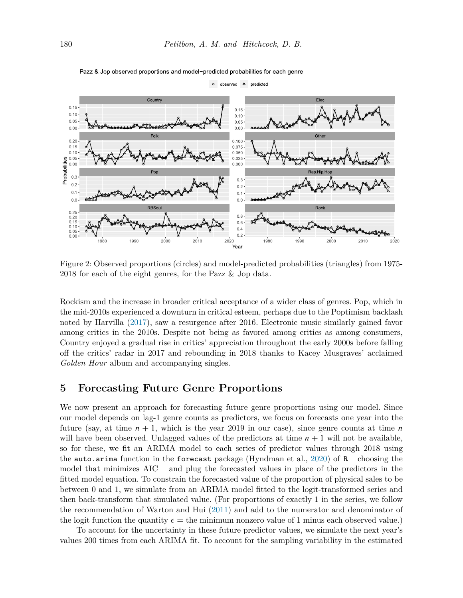

Pazz & Jop observed proportions and model-predicted probabilities for each genre

<span id="page-12-1"></span>Figure 2: Observed proportions (circles) and model-predicted probabilities (triangles) from 1975- 2018 for each of the eight genres, for the Pazz & Jop data.

Rockism and the increase in broader critical acceptance of a wider class of genres. Pop, which in the mid-2010s experienced a downturn in critical esteem, perhaps due to the Poptimism backlash noted by Harvilla [\(2017](#page-18-6)), saw a resurgence after 2016. Electronic music similarly gained favor among critics in the 2010s. Despite not being as favored among critics as among consumers, Country enjoyed a gradual rise in critics' appreciation throughout the early 2000s before falling off the critics' radar in 2017 and rebounding in 2018 thanks to Kacey Musgraves' acclaimed *Golden Hour* album and accompanying singles.

## <span id="page-12-0"></span>**5 Forecasting Future Genre Proportions**

We now present an approach for forecasting future genre proportions using our model. Since our model depends on lag-1 genre counts as predictors, we focus on forecasts one year into the future (say, at time  $n + 1$ , which is the year 2019 in our case), since genre counts at time *n* will have been observed. Unlagged values of the predictors at time  $n + 1$  will not be available, so for these, we fit an ARIMA model to each series of predictor values through 2018 using the auto.arima function in the forecast package (Hyndman et al., [2020\)](#page-18-16) of  $R$  – choosing the model that minimizes AIC – and plug the forecasted values in place of the predictors in the fitted model equation. To constrain the forecasted value of the proportion of physical sales to be between 0 and 1, we simulate from an ARIMA model fitted to the logit-transformed series and then back-transform that simulated value. (For proportions of exactly 1 in the series, we follow the recommendation of Warton and Hui [\(2011\)](#page-19-13) and add to the numerator and denominator of the logit function the quantity  $\epsilon =$  the minimum nonzero value of 1 minus each observed value.)

To account for the uncertainty in these future predictor values, we simulate the next year's values 200 times from each ARIMA fit. To account for the sampling variability in the estimated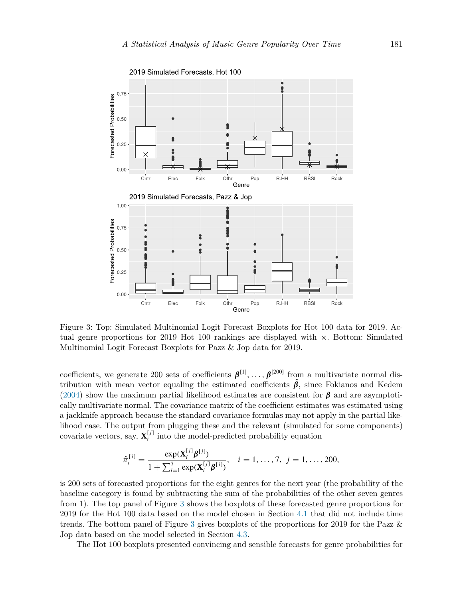

<span id="page-13-0"></span>Figure 3: Top: Simulated Multinomial Logit Forecast Boxplots for Hot 100 data for 2019. Actual genre proportions for 2019 Hot 100 rankings are displayed with  $\times$ . Bottom: Simulated Multinomial Logit Forecast Boxplots for Pazz & Jop data for 2019.

coefficients, we generate 200 sets of coefficients  $\beta^{[1]}, \ldots, \beta^{[200]}$  from a multivariate normal distribution with mean vector equaling the estimated coefficients  $\hat{\beta}$ , since Fokianos and Kedem [\(2004](#page-18-12)) show the maximum partial likelihood estimates are consistent for *β* and are asymptotically multivariate normal. The covariance matrix of the coefficient estimates was estimated using a jackknife approach because the standard covariance formulas may not apply in the partial likelihood case. The output from plugging these and the relevant (simulated for some components) covariate vectors, say,  $\mathbf{X}_i^{[j]}$  into the model-predicted probability equation

$$
\hat{\pi}_i^{[j]} = \frac{\exp(\mathbf{X}_i^{[j]}\boldsymbol{\beta}^{[j]})}{1 + \sum_{i=1}^7 \exp(\mathbf{X}_i^{[j]}\boldsymbol{\beta}^{[j]})}, \quad i = 1, \dots, 7, \ j = 1, \dots, 200,
$$

is 200 sets of forecasted proportions for the eight genres for the next year (the probability of the baseline category is found by subtracting the sum of the probabilities of the other seven genres from 1). The top panel of Figure [3](#page-13-0) shows the boxplots of these forecasted genre proportions for 2019 for the Hot 100 data based on the model chosen in Section [4.1](#page-7-0) that did not include time trends. The bottom panel of Figure [3](#page-13-0) gives boxplots of the proportions for 2019 for the Pazz & Jop data based on the model selected in Section [4.3](#page-10-1).

The Hot 100 boxplots presented convincing and sensible forecasts for genre probabilities for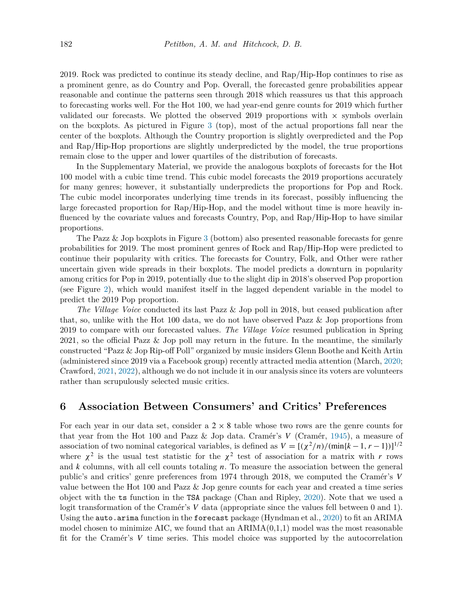2019. Rock was predicted to continue its steady decline, and Rap/Hip-Hop continues to rise as a prominent genre, as do Country and Pop. Overall, the forecasted genre probabilities appear reasonable and continue the patterns seen through 2018 which reassures us that this approach to forecasting works well. For the Hot 100, we had year-end genre counts for 2019 which further validated our forecasts. We plotted the observed 2019 proportions with  $\times$  symbols overlain on the boxplots. As pictured in Figure [3](#page-13-0) (top), most of the actual proportions fall near the center of the boxplots. Although the Country proportion is slightly overpredicted and the Pop and Rap/Hip-Hop proportions are slightly underpredicted by the model, the true proportions remain close to the upper and lower quartiles of the distribution of forecasts.

In the Supplementary Material, we provide the analogous boxplots of forecasts for the Hot 100 model with a cubic time trend. This cubic model forecasts the 2019 proportions accurately for many genres; however, it substantially underpredicts the proportions for Pop and Rock. The cubic model incorporates underlying time trends in its forecast, possibly influencing the large forecasted proportion for Rap/Hip-Hop, and the model without time is more heavily influenced by the covariate values and forecasts Country, Pop, and Rap/Hip-Hop to have similar proportions.

The Pazz & Jop boxplots in Figure [3](#page-13-0) (bottom) also presented reasonable forecasts for genre probabilities for 2019. The most prominent genres of Rock and Rap/Hip-Hop were predicted to continue their popularity with critics. The forecasts for Country, Folk, and Other were rather uncertain given wide spreads in their boxplots. The model predicts a downturn in popularity among critics for Pop in 2019, potentially due to the slight dip in 2018's observed Pop proportion (see Figure [2\)](#page-12-1), which would manifest itself in the lagged dependent variable in the model to predict the 2019 Pop proportion.

*The Village Voice* conducted its last Pazz & Jop poll in 2018, but ceased publication after that, so, unlike with the Hot 100 data, we do not have observed Pazz & Jop proportions from 2019 to compare with our forecasted values. *The Village Voice* resumed publication in Spring 2021, so the official Pazz & Jop poll may return in the future. In the meantime, the similarly constructed "Pazz & Jop Rip-off Poll" organized by music insiders Glenn Boothe and Keith Artin (administered since 2019 via a Facebook group) recently attracted media attention (March, [2020;](#page-18-17) Crawford, [2021,](#page-18-18) [2022](#page-18-19)), although we do not include it in our analysis since its voters are volunteers rather than scrupulously selected music critics.

## **6 Association Between Consumers' and Critics' Preferences**

For each year in our data set, consider a  $2 \times 8$  table whose two rows are the genre counts for that year from the Hot 100 and Pazz & Jop data. Cramér's *V* (Cramér, [1945](#page-17-9)), a measure of association of two nominal categorical variables, is defined as  $V = \left[\frac{\chi^2}{n}\right] \frac{\sin(k-1, r-1)}{2^2}$ where  $\chi^2$  is the usual test statistic for the  $\chi^2$  test of association for a matrix with *r* rows and *k* columns, with all cell counts totaling *n*. To measure the association between the general public's and critics' genre preferences from 1974 through 2018, we computed the Cramér's *V* value between the Hot 100 and Pazz & Jop genre counts for each year and created a time series object with the ts function in the TSA package (Chan and Ripley, [2020\)](#page-17-10). Note that we used a logit transformation of the Cramér's *V* data (appropriate since the values fell between 0 and 1). Using the auto.arima function in the forecast package (Hyndman et al., [2020\)](#page-18-16) to fit an ARIMA model chosen to minimize AIC, we found that an  $ARIMA(0,1,1)$  model was the most reasonable fit for the Cramér's *V* time series. This model choice was supported by the autocorrelation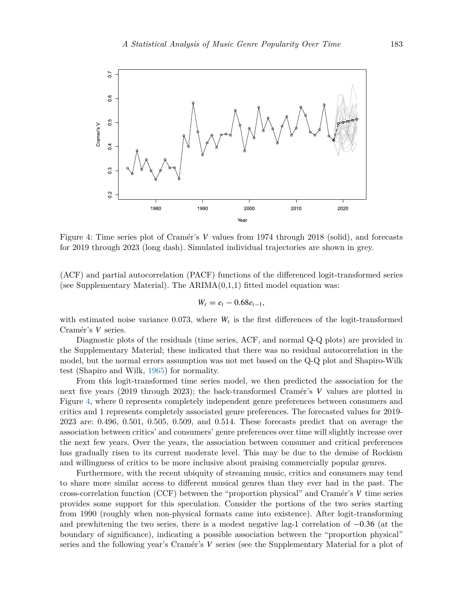

<span id="page-15-0"></span>Figure 4: Time series plot of Cramér's *V* values from 1974 through 2018 (solid), and forecasts for 2019 through 2023 (long dash). Simulated individual trajectories are shown in grey.

(ACF) and partial autocorrelation (PACF) functions of the differenced logit-transformed series (see Supplementary Material). The  $ARIMA(0,1,1)$  fitted model equation was:

$$
W_t = e_t - 0.68e_{t-1},
$$

with estimated noise variance  $0.073$ , where  $W_t$  is the first differences of the logit-transformed Cramér's *V* series.

Diagnostic plots of the residuals (time series, ACF, and normal Q-Q plots) are provided in the Supplementary Material; these indicated that there was no residual autocorrelation in the model, but the normal errors assumption was not met based on the Q-Q plot and Shapiro-Wilk test (Shapiro and Wilk, [1965](#page-19-14)) for normality.

From this logit-transformed time series model, we then predicted the association for the next five years (2019 through 2023); the back-transformed Cramér's *V* values are plotted in Figure [4](#page-15-0), where 0 represents completely independent genre preferences between consumers and critics and 1 represents completely associated genre preferences. The forecasted values for 2019- 2023 are: 0.496, 0.501, 0.505, 0.509, and 0.514. These forecasts predict that on average the association between critics' and consumers' genre preferences over time will slightly increase over the next few years. Over the years, the association between consumer and critical preferences has gradually risen to its current moderate level. This may be due to the demise of Rockism and willingness of critics to be more inclusive about praising commercially popular genres.

Furthermore, with the recent ubiquity of streaming music, critics and consumers may tend to share more similar access to different musical genres than they ever had in the past. The cross-correlation function (CCF) between the "proportion physical" and Cramér's *V* time series provides some support for this speculation. Consider the portions of the two series starting from 1990 (roughly when non-physical formats came into existence). After logit-transforming and prewhitening the two series, there is a modest negative lag-1 correlation of −0*.*36 (at the boundary of significance), indicating a possible association between the "proportion physical" series and the following year's Cramér's *V* series (see the Supplementary Material for a plot of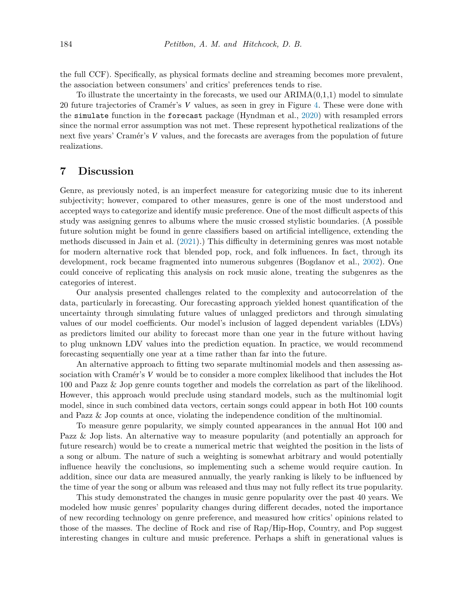the full CCF). Specifically, as physical formats decline and streaming becomes more prevalent, the association between consumers' and critics' preferences tends to rise.

To illustrate the uncertainty in the forecasts, we used our  $ARIMA(0,1,1)$  model to simulate 20 future trajectories of Cramér's *V* values, as seen in grey in Figure [4.](#page-15-0) These were done with the simulate function in the forecast package (Hyndman et al., [2020\)](#page-18-16) with resampled errors since the normal error assumption was not met. These represent hypothetical realizations of the next five years' Cramér's *V* values, and the forecasts are averages from the population of future realizations.

# **7 Discussion**

Genre, as previously noted, is an imperfect measure for categorizing music due to its inherent subjectivity; however, compared to other measures, genre is one of the most understood and accepted ways to categorize and identify music preference. One of the most difficult aspects of this study was assigning genres to albums where the music crossed stylistic boundaries. (A possible future solution might be found in genre classifiers based on artificial intelligence, extending the methods discussed in Jain et al. ([2021\)](#page-18-3).) This difficulty in determining genres was most notable for modern alternative rock that blended pop, rock, and folk influences. In fact, through its development, rock became fragmented into numerous subgenres (Bogdanov et al., [2002\)](#page-17-11). One could conceive of replicating this analysis on rock music alone, treating the subgenres as the categories of interest.

Our analysis presented challenges related to the complexity and autocorrelation of the data, particularly in forecasting. Our forecasting approach yielded honest quantification of the uncertainty through simulating future values of unlagged predictors and through simulating values of our model coefficients. Our model's inclusion of lagged dependent variables (LDVs) as predictors limited our ability to forecast more than one year in the future without having to plug unknown LDV values into the prediction equation. In practice, we would recommend forecasting sequentially one year at a time rather than far into the future.

An alternative approach to fitting two separate multinomial models and then assessing association with Cramér's *V* would be to consider a more complex likelihood that includes the Hot 100 and Pazz & Jop genre counts together and models the correlation as part of the likelihood. However, this approach would preclude using standard models, such as the multinomial logit model, since in such combined data vectors, certain songs could appear in both Hot 100 counts and Pazz & Jop counts at once, violating the independence condition of the multinomial.

To measure genre popularity, we simply counted appearances in the annual Hot 100 and Pazz & Jop lists. An alternative way to measure popularity (and potentially an approach for future research) would be to create a numerical metric that weighted the position in the lists of a song or album. The nature of such a weighting is somewhat arbitrary and would potentially influence heavily the conclusions, so implementing such a scheme would require caution. In addition, since our data are measured annually, the yearly ranking is likely to be influenced by the time of year the song or album was released and thus may not fully reflect its true popularity.

This study demonstrated the changes in music genre popularity over the past 40 years. We modeled how music genres' popularity changes during different decades, noted the importance of new recording technology on genre preference, and measured how critics' opinions related to those of the masses. The decline of Rock and rise of Rap/Hip-Hop, Country, and Pop suggest interesting changes in culture and music preference. Perhaps a shift in generational values is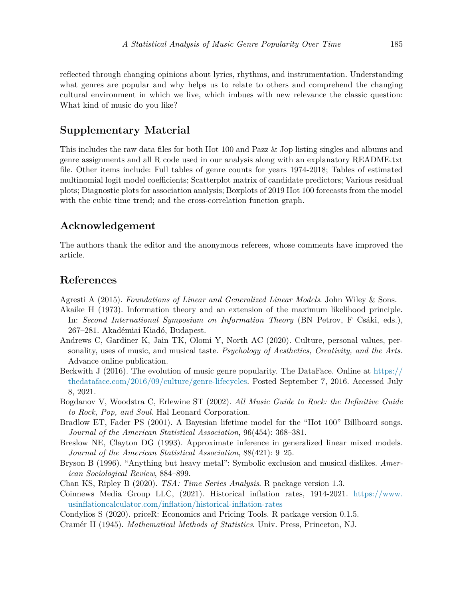reflected through changing opinions about lyrics, rhythms, and instrumentation. Understanding what genres are popular and why helps us to relate to others and comprehend the changing cultural environment in which we live, which imbues with new relevance the classic question: What kind of music do you like?

# **Supplementary Material**

This includes the raw data files for both Hot 100 and Pazz & Jop listing singles and albums and genre assignments and all R code used in our analysis along with an explanatory README.txt file. Other items include: Full tables of genre counts for years 1974-2018; Tables of estimated multinomial logit model coefficients; Scatterplot matrix of candidate predictors; Various residual plots; Diagnostic plots for association analysis; Boxplots of 2019 Hot 100 forecasts from the model with the cubic time trend; and the cross-correlation function graph.

## **Acknowledgement**

The authors thank the editor and the anonymous referees, whose comments have improved the article.

# **References**

- <span id="page-17-6"></span>Agresti A (2015). *Foundations of Linear and Generalized Linear Models*. John Wiley & Sons.
- <span id="page-17-8"></span>Akaike H (1973). Information theory and an extension of the maximum likelihood principle. In: *Second International Symposium on Information Theory* (BN Petrov, F Csáki, eds.), 267–281. Akadémiai Kiadó, Budapest.
- <span id="page-17-0"></span>Andrews C, Gardiner K, Jain TK, Olomi Y, North AC (2020). Culture, personal values, personality, uses of music, and musical taste. *Psychology of Aesthetics, Creativity, and the Arts.* Advance online publication.
- <span id="page-17-2"></span>Beckwith J (2016). The evolution of music genre popularity. The DataFace. Online at [https://](https://thedataface.com/2016/09/culture/genre-lifecycles) [thedataface.com/2016/09/culture/genre-lifecycles.](https://thedataface.com/2016/09/culture/genre-lifecycles) Posted September 7, 2016. Accessed July 8, 2021.
- <span id="page-17-11"></span>Bogdanov V, Woodstra C, Erlewine ST (2002). *All Music Guide to Rock: the Definitive Guide to Rock, Pop, and Soul*. Hal Leonard Corporation.
- <span id="page-17-1"></span>Bradlow ET, Fader PS (2001). A Bayesian lifetime model for the "Hot 100" Billboard songs. *Journal of the American Statistical Association*, 96(454): 368–381.
- <span id="page-17-7"></span>Breslow NE, Clayton DG (1993). Approximate inference in generalized linear mixed models. *Journal of the American Statistical Association*, 88(421): 9–25.
- <span id="page-17-3"></span>Bryson B (1996). "Anything but heavy metal": Symbolic exclusion and musical dislikes. *American Sociological Review*, 884–899.
- <span id="page-17-10"></span>Chan KS, Ripley B (2020). *TSA: Time Series Analysis*. R package version 1.3.
- <span id="page-17-4"></span>Coinnews Media Group LLC, (2021). Historical inflation rates, 1914-2021. [https://www.](https://www.usinflationcalculator.com/inflation/historical-inflation-rates) [usinflationcalculator.com/inflation/historical-inflation-rates](https://www.usinflationcalculator.com/inflation/historical-inflation-rates)
- <span id="page-17-5"></span>Condylios S (2020). priceR: Economics and Pricing Tools. R package version 0.1.5.
- <span id="page-17-9"></span>Cramér H (1945). *Mathematical Methods of Statistics*. Univ. Press, Princeton, NJ.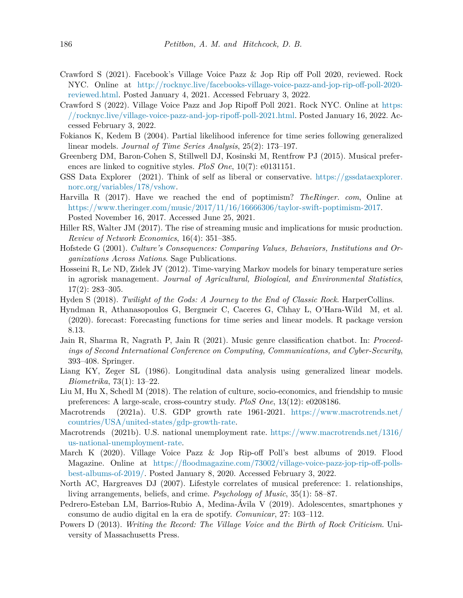- <span id="page-18-18"></span>Crawford S (2021). Facebook's Village Voice Pazz & Jop Rip off Poll 2020, reviewed. Rock NYC. Online at [http://rocknyc.live/facebooks-village-voice-pazz-and-jop-rip-off-poll-2020](http://rocknyc.live/facebooks-village-voice-pazz-and-jop-rip-off-poll-2020-reviewed.html) [reviewed.html](http://rocknyc.live/facebooks-village-voice-pazz-and-jop-rip-off-poll-2020-reviewed.html). Posted January 4, 2021. Accessed February 3, 2022.
- <span id="page-18-19"></span>Crawford S (2022). Village Voice Pazz and Jop Ripoff Poll 2021. Rock NYC. Online at [https:](https://rocknyc.live/village-voice-pazz-and-jop-ripoff-poll-2021.html) [//rocknyc.live/village-voice-pazz-and-jop-ripoff-poll-2021.html.](https://rocknyc.live/village-voice-pazz-and-jop-ripoff-poll-2021.html) Posted January 16, 2022. Accessed February 3, 2022.
- <span id="page-18-12"></span>Fokianos K, Kedem B (2004). Partial likelihood inference for time series following generalized linear models. *Journal of Time Series Analysis*, 25(2): 173–197.
- <span id="page-18-0"></span>Greenberg DM, Baron-Cohen S, Stillwell DJ, Kosinski M, Rentfrow PJ (2015). Musical preferences are linked to cognitive styles. *PloS One*, 10(7): e0131151.
- <span id="page-18-10"></span>GSS Data Explorer (2021). Think of self as liberal or conservative. [https://gssdataexplorer.](https://gssdataexplorer.norc.org/variables/178/vshow) [norc.org/variables/178/vshow](https://gssdataexplorer.norc.org/variables/178/vshow).
- <span id="page-18-6"></span>Harvilla R (2017). Have we reached the end of poptimism? *TheRinger. com*, Online at <https://www.theringer.com/music/2017/11/16/16666306/taylor-swift-poptimism-2017>. Posted November 16, 2017. Accessed June 25, 2021.
- <span id="page-18-15"></span>Hiller RS, Walter JM (2017). The rise of streaming music and implications for music production. *Review of Network Economics*, 16(4): 351–385.
- <span id="page-18-2"></span>Hofstede G (2001). *Culture's Consequences: Comparing Values, Behaviors, Institutions and Organizations Across Nations*. Sage Publications.
- <span id="page-18-14"></span>Hosseini R, Le ND, Zidek JV (2012). Time-varying Markov models for binary temperature series in agrorisk management. *Journal of Agricultural, Biological, and Environmental Statistics*,  $17(2): 283 - 305.$
- <span id="page-18-5"></span>Hyden S (2018). *Twilight of the Gods: A Journey to the End of Classic Rock*. HarperCollins.
- <span id="page-18-16"></span>Hyndman R, Athanasopoulos G, Bergmeir C, Caceres G, Chhay L, O'Hara-Wild M, et al. (2020). forecast: Forecasting functions for time series and linear models. R package version 8.13.
- <span id="page-18-3"></span>Jain R, Sharma R, Nagrath P, Jain R (2021). Music genre classification chatbot. In: *Proceedings of Second International Conference on Computing, Communications, and Cyber-Security*, 393–408. Springer.
- <span id="page-18-13"></span>Liang KY, Zeger SL (1986). Longitudinal data analysis using generalized linear models. *Biometrika*, 73(1): 13–22.
- <span id="page-18-7"></span>Liu M, Hu X, Schedl M (2018). The relation of culture, socio-economics, and friendship to music preferences: A large-scale, cross-country study. *PloS One*, 13(12): e0208186.
- <span id="page-18-9"></span>Macrotrends (2021a). U.S. GDP growth rate 1961-2021. [https://www.macrotrends.net/](https://www.macrotrends.net/countries/USA/united-states/gdp-growth-rate) [countries/USA/united-states/gdp-growth-rate](https://www.macrotrends.net/countries/USA/united-states/gdp-growth-rate).
- <span id="page-18-8"></span>Macrotrends (2021b). U.S. national unemployment rate. [https://www.macrotrends.net/1316/](https://www.macrotrends.net/1316/us-national-unemployment-rate) [us-national-unemployment-rate](https://www.macrotrends.net/1316/us-national-unemployment-rate).
- <span id="page-18-17"></span>March K (2020). Village Voice Pazz & Jop Rip-off Poll's best albums of 2019. Flood Magazine. Online at [https://floodmagazine.com/73002/village-voice-pazz-jop-rip-off-polls](https://floodmagazine.com/73002/village-voice-pazz-jop-rip-off-polls-best-albums-of-2019/)[best-albums-of-2019/.](https://floodmagazine.com/73002/village-voice-pazz-jop-rip-off-polls-best-albums-of-2019/) Posted January 8, 2020. Accessed February 3, 2022.
- <span id="page-18-1"></span>North AC, Hargreaves DJ (2007). Lifestyle correlates of musical preference: 1. relationships, living arrangements, beliefs, and crime. *Psychology of Music*, 35(1): 58–87.
- <span id="page-18-11"></span>Pedrero-Esteban LM, Barrios-Rubio A, Medina-Avila V (2019). Adolescentes, smartphones y consumo de audio digital en la era de spotify. *Comunicar*, 27: 103–112.
- <span id="page-18-4"></span>Powers D (2013). *Writing the Record: The Village Voice and the Birth of Rock Criticism*. University of Massachusetts Press.